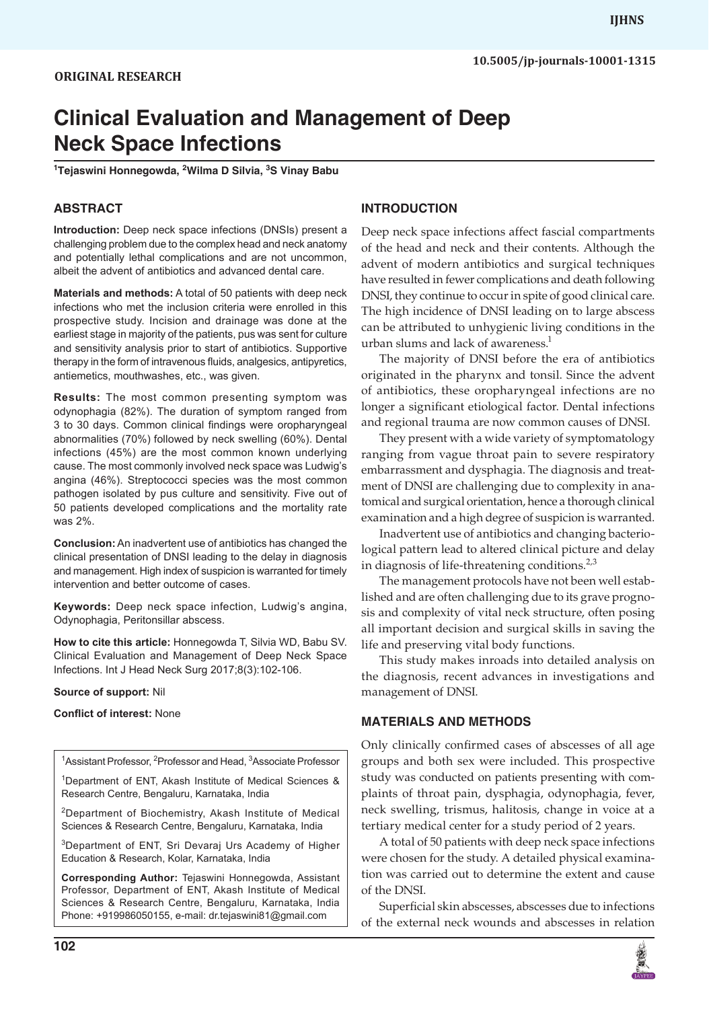**10.5005/jp-journals-10001-1315**

# **Clinical Evaluation and Management of Deep Neck Space Infections**

**1 Tejaswini Honnegowda, 2 Wilma D Silvia, 3 S Vinay Babu**

# **ABSTRACT**

**Introduction:** Deep neck space infections (DNSIs) present a challenging problem due to the complex head and neck anatomy and potentially lethal complications and are not uncommon, albeit the advent of antibiotics and advanced dental care.

**Materials and methods:** A total of 50 patients with deep neck infections who met the inclusion criteria were enrolled in this prospective study. Incision and drainage was done at the earliest stage in majority of the patients, pus was sent for culture and sensitivity analysis prior to start of antibiotics. Supportive therapy in the form of intravenous fluids, analgesics, antipyretics, antiemetics, mouthwashes, etc., was given.

**Results:** The most common presenting symptom was odynophagia (82%). The duration of symptom ranged from 3 to 30 days. Common clinical findings were oropharyngeal abnormalities (70%) followed by neck swelling (60%). Dental infections (45%) are the most common known underlying cause. The most commonly involved neck space was Ludwig's angina (46%). Streptococci species was the most common pathogen isolated by pus culture and sensitivity. Five out of 50 patients developed complications and the mortality rate was 2%.

**Conclusion:** An inadvertent use of antibiotics has changed the clinical presentation of DNSI leading to the delay in diagnosis and management. High index of suspicion is warranted for timely intervention and better outcome of cases.

**Keywords:** Deep neck space infection, Ludwig's angina, Odynophagia, Peritonsillar abscess.

**How to cite this article:** Honnegowda T, Silvia WD, Babu SV. Clinical Evaluation and Management of Deep Neck Space Infections. Int J Head Neck Surg 2017;8(3):102-106.

#### **Source of support:** Nil

#### **Conflict of interest:** None

| <sup>1</sup> Assistant Professor, <sup>2</sup> Professor and Head, <sup>3</sup> Associate Professor                            |
|--------------------------------------------------------------------------------------------------------------------------------|
| <sup>1</sup> Department of ENT, Akash Institute of Medical Sciences &<br>Research Centre, Bengaluru, Karnataka, India          |
| <sup>2</sup> Department of Biochemistry, Akash Institute of Medical<br>Sciences & Research Centre, Bengaluru, Karnataka, India |
| <sup>3</sup> Department of ENT, Sri Devaraj Urs Academy of Higher<br>Education & Research, Kolar, Karnataka, India             |

**Corresponding Author:** Tejaswini Honnegowda, Assistant Professor, Department of ENT, Akash Institute of Medical Sciences & Research Centre, Bengaluru, Karnataka, India Phone: +919986050155, e-mail: dr.tejaswini81@gmail.com

# **INTRODUCTION**

Deep neck space infections affect fascial compartments of the head and neck and their contents. Although the advent of modern antibiotics and surgical techniques have resulted in fewer complications and death following DNSI, they continue to occur in spite of good clinical care. The high incidence of DNSI leading on to large abscess can be attributed to unhygienic living conditions in the urban slums and lack of awareness.<sup>1</sup>

The majority of DNSI before the era of antibiotics originated in the pharynx and tonsil. Since the advent of antibiotics, these oropharyngeal infections are no longer a significant etiological factor. Dental infections and regional trauma are now common causes of DNSI.

They present with a wide variety of symptomatology ranging from vague throat pain to severe respiratory embarrassment and dysphagia. The diagnosis and treatment of DNSI are challenging due to complexity in anatomical and surgical orientation, hence a thorough clinical examination and a high degree of suspicion is warranted.

Inadvertent use of antibiotics and changing bacteriological pattern lead to altered clinical picture and delay in diagnosis of life-threatening conditions. $2,3$ 

The management protocols have not been well established and are often challenging due to its grave prognosis and complexity of vital neck structure, often posing all important decision and surgical skills in saving the life and preserving vital body functions.

This study makes inroads into detailed analysis on the diagnosis, recent advances in investigations and management of DNSI.

## **MATERIALS AND METHODS**

Only clinically confirmed cases of abscesses of all age groups and both sex were included. This prospective study was conducted on patients presenting with complaints of throat pain, dysphagia, odynophagia, fever, neck swelling, trismus, halitosis, change in voice at a tertiary medical center for a study period of 2 years.

A total of 50 patients with deep neck space infections were chosen for the study. A detailed physical examination was carried out to determine the extent and cause of the DNSI.

Superficial skin abscesses, abscesses due to infections of the external neck wounds and abscesses in relation

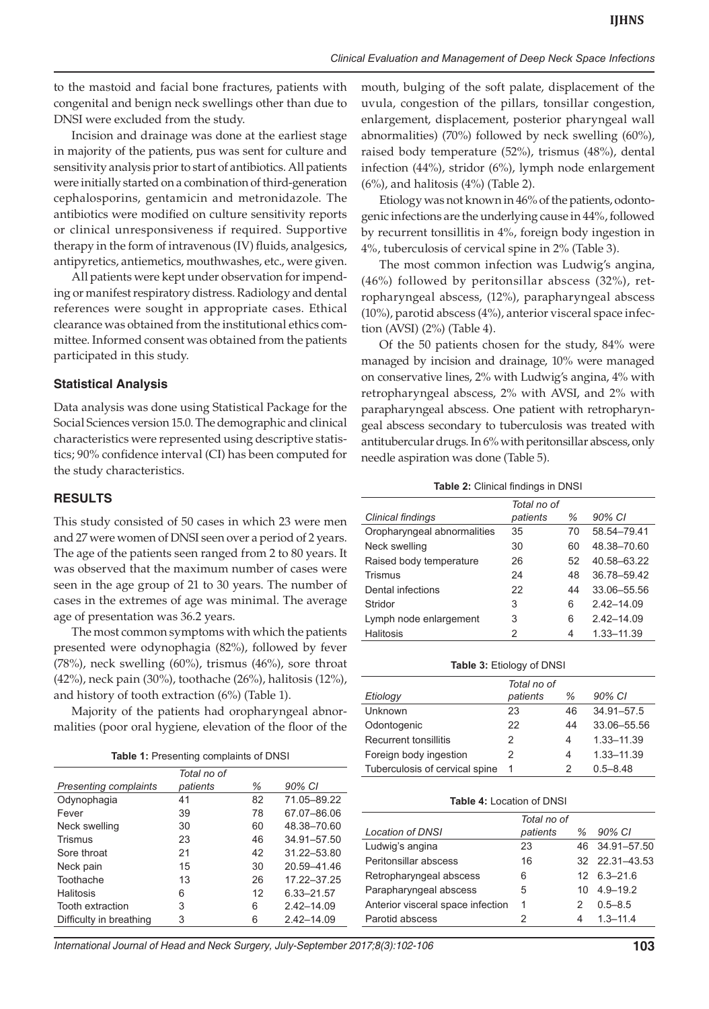to the mastoid and facial bone fractures, patients with congenital and benign neck swellings other than due to DNSI were excluded from the study.

Incision and drainage was done at the earliest stage in majority of the patients, pus was sent for culture and sensitivity analysis prior to start of antibiotics. All patients were initially started on a combination of third-generation cephalosporins, gentamicin and metronidazole. The antibiotics were modified on culture sensitivity reports or clinical unresponsiveness if required. Supportive therapy in the form of intravenous (IV) fluids, analgesics, antipyretics, antiemetics, mouthwashes, etc., were given.

All patients were kept under observation for impending or manifest respiratory distress. Radiology and dental references were sought in appropriate cases. Ethical clearance was obtained from the institutional ethics committee. Informed consent was obtained from the patients participated in this study.

#### **Statistical Analysis**

Data analysis was done using Statistical Package for the Social Sciences version 15.0. The demographic and clinical characteristics were represented using descriptive statistics; 90% confidence interval (CI) has been computed for the study characteristics.

## **RESULTS**

This study consisted of 50 cases in which 23 were men and 27 were women of DNSI seen over a period of 2 years. The age of the patients seen ranged from 2 to 80 years. It was observed that the maximum number of cases were seen in the age group of 21 to 30 years. The number of cases in the extremes of age was minimal. The average age of presentation was 36.2 years.

The most common symptoms with which the patients presented were odynophagia (82%), followed by fever (78%), neck swelling (60%), trismus (46%), sore throat (42%), neck pain (30%), toothache (26%), halitosis (12%), and history of tooth extraction (6%) (Table 1).

Majority of the patients had oropharyngeal abnormalities (poor oral hygiene, elevation of the floor of the

|                              | Total no of |    |                |
|------------------------------|-------------|----|----------------|
| <b>Presenting complaints</b> | patients    | ℅  | 90% CI         |
| Odynophagia                  | 41          | 82 | 71.05-89.22    |
| Fever                        | 39          | 78 | 67.07-86.06    |
| Neck swelling                | 30          | 60 | 48.38-70.60    |
| Trismus                      | 23          | 46 | 34.91-57.50    |
| Sore throat                  | 21          | 42 | 31.22-53.80    |
| Neck pain                    | 15          | 30 | 20.59-41.46    |
| Toothache                    | 13          | 26 | 17.22-37.25    |
| Halitosis                    | 6           | 12 | 6.33-21.57     |
| Tooth extraction             | 3           | 6  | $2.42 - 14.09$ |
| Difficulty in breathing      | 3           | 6  | $2.42 - 14.09$ |

mouth, bulging of the soft palate, displacement of the uvula, congestion of the pillars, tonsillar congestion, enlargement, displacement, posterior pharyngeal wall abnormalities) (70%) followed by neck swelling (60%), raised body temperature (52%), trismus (48%), dental infection (44%), stridor (6%), lymph node enlargement  $(6%)$ , and halitosis  $(4%)$  (Table 2).

Etiology was not known in 46% of the patients, odontogenic infections are the underlying cause in 44%, followed by recurrent tonsillitis in 4%, foreign body ingestion in 4%, tuberculosis of cervical spine in 2% (Table 3).

The most common infection was Ludwig's angina, (46%) followed by peritonsillar abscess (32%), retropharyngeal abscess, (12%), parapharyngeal abscess (10%), parotid abscess (4%), anterior visceral space infection (AVSI) (2%) (Table 4).

Of the 50 patients chosen for the study, 84% were managed by incision and drainage, 10% were managed on conservative lines, 2% with Ludwig's angina, 4% with retropharyngeal abscess, 2% with AVSI, and 2% with parapharyngeal abscess. One patient with retropharyngeal abscess secondary to tuberculosis was treated with antitubercular drugs. In 6% with peritonsillar abscess, only needle aspiration was done (Table 5).

**Table 2:** Clinical findings in DNSI

|                             | Total no of |    |              |
|-----------------------------|-------------|----|--------------|
| Clinical findings           | patients    | %  | 90% CI       |
| Oropharyngeal abnormalities | 35          | 70 | 58.54-79.41  |
| Neck swelling               | 30          | 60 | 48.38-70.60  |
| Raised body temperature     | 26          | 52 | 40.58-63.22  |
| Trismus                     | 24          | 48 | 36.78-59.42  |
| Dental infections           | 22          | 44 | 33.06-55.56  |
| Stridor                     | 3           | 6  | $2,42-14,09$ |
| Lymph node enlargement      | 3           | 6  | $2,42-14,09$ |
| Halitosis                   | 2           | 4  | 1.33-11.39   |

**Table 3:** Etiology of DNSI

|                                | Total no of |    |              |
|--------------------------------|-------------|----|--------------|
| Etiology                       | patients    | %  | 90% CI       |
| <b>Unknown</b>                 | 23          | 46 | 34.91-57.5   |
| Odontogenic                    | 22          | 44 | 33.06-55.56  |
| <b>Recurrent tonsillitis</b>   | 2           | 4  | 1.33-11.39   |
| Foreign body ingestion         | 2           | 4  | 1.33-11.39   |
| Tuberculosis of cervical spine | 1           |    | $0.5 - 8.48$ |

#### **Table 4:** Location of DNSI

|                                   | Total no of |   |                       |
|-----------------------------------|-------------|---|-----------------------|
| <b>Location of DNSI</b>           | patients    | % | 90% CI                |
| Ludwig's angina                   | 23          |   | 46 34.91-57.50        |
| Peritonsillar abscess             | 16          |   | 32 22.31 - 43.53      |
| Retropharyngeal abscess           | 6           |   | $12 \quad 6.3 - 21.6$ |
| Parapharyngeal abscess            | 5           |   | $10 \quad 4.9 - 19.2$ |
| Anterior visceral space infection | 1           | 2 | $0.5 - 8.5$           |
| Parotid abscess                   |             | 4 | $1,3 - 11,4$          |

*International Journal of Head and Neck Surgery, July-September 2017;8(3):102-106* **103**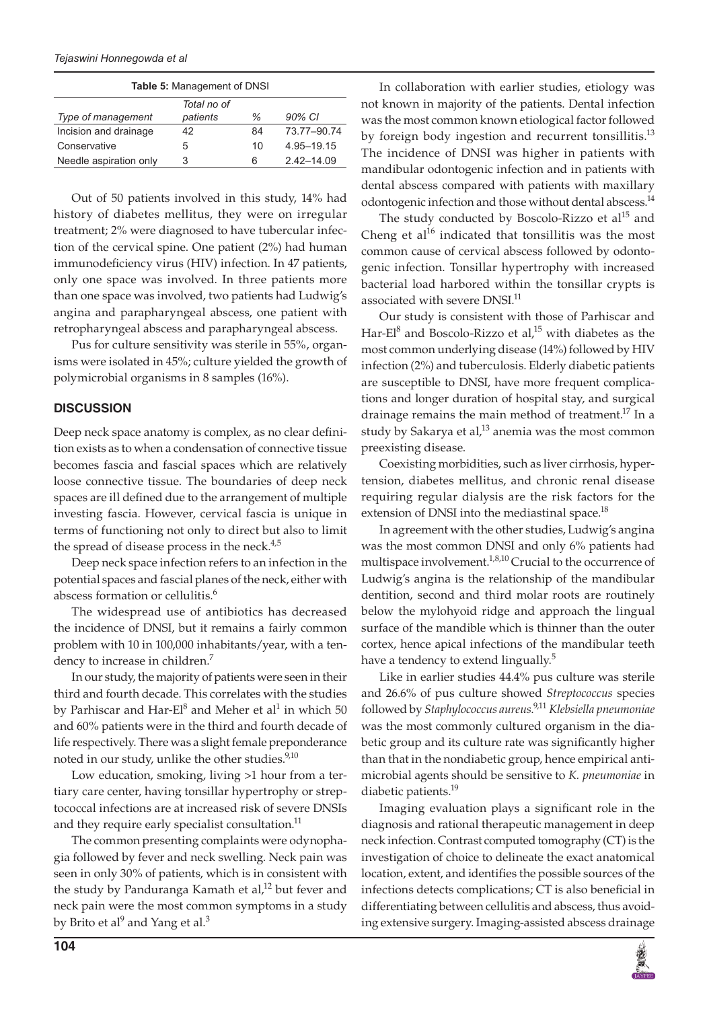*Tejaswini Honnegowda et al*

| <b>Table 5: Management of DNSI</b> |             |    |              |
|------------------------------------|-------------|----|--------------|
|                                    | Total no of |    |              |
| Type of management                 | patients    | ℅  | 90% CI       |
| Incision and drainage              | 42          | 84 | 73.77-90.74  |
| Conservative                       | 5           | 10 | 4.95-19.15   |
| Needle aspiration only             | 3           | 6  | $2,42-14,09$ |

Out of 50 patients involved in this study, 14% had history of diabetes mellitus, they were on irregular treatment; 2% were diagnosed to have tubercular infection of the cervical spine. One patient (2%) had human immunodeficiency virus (HIV) infection. In 47 patients, only one space was involved. In three patients more than one space was involved, two patients had Ludwig's angina and parapharyngeal abscess, one patient with retropharyngeal abscess and parapharyngeal abscess.

Pus for culture sensitivity was sterile in 55%, organisms were isolated in 45%; culture yielded the growth of polymicrobial organisms in 8 samples (16%).

# **DISCUSSION**

Deep neck space anatomy is complex, as no clear definition exists as to when a condensation of connective tissue becomes fascia and fascial spaces which are relatively loose connective tissue. The boundaries of deep neck spaces are ill defined due to the arrangement of multiple investing fascia. However, cervical fascia is unique in terms of functioning not only to direct but also to limit the spread of disease process in the neck. $4,5$ 

Deep neck space infection refers to an infection in the potential spaces and fascial planes of the neck, either with abscess formation or cellulitis.<sup>6</sup>

The widespread use of antibiotics has decreased the incidence of DNSI, but it remains a fairly common problem with 10 in 100,000 inhabitants/year, with a tendency to increase in children.<sup>7</sup>

In our study, the majority of patients were seen in their third and fourth decade. This correlates with the studies by Parhiscar and Har-El $^8$  and Meher et al $^1$  in which 50 and 60% patients were in the third and fourth decade of life respectively. There was a slight female preponderance noted in our study, unlike the other studies.<sup>9,10</sup>

Low education, smoking, living >1 hour from a tertiary care center, having tonsillar hypertrophy or streptococcal infections are at increased risk of severe DNSIs and they require early specialist consultation.<sup>11</sup>

The common presenting complaints were odynophagia followed by fever and neck swelling. Neck pain was seen in only 30% of patients, which is in consistent with the study by Panduranga Kamath et al,<sup>12</sup> but fever and neck pain were the most common symptoms in a study by Brito et al $^9$  and Yang et al. $^3$ 

In collaboration with earlier studies, etiology was not known in majority of the patients. Dental infection was the most common known etiological factor followed by foreign body ingestion and recurrent tonsillitis.<sup>13</sup> The incidence of DNSI was higher in patients with mandibular odontogenic infection and in patients with dental abscess compared with patients with maxillary odontogenic infection and those without dental abscess.<sup>14</sup>

The study conducted by Boscolo-Rizzo et al<sup>15</sup> and Cheng et al<sup>16</sup> indicated that tonsillitis was the most common cause of cervical abscess followed by odontogenic infection. Tonsillar hypertrophy with increased bacterial load harbored within the tonsillar crypts is associated with severe DNSI.<sup>11</sup>

Our study is consistent with those of Parhiscar and Har-El<sup>8</sup> and Boscolo-Rizzo et al,<sup>15</sup> with diabetes as the most common underlying disease (14%) followed by HIV infection (2%) and tuberculosis. Elderly diabetic patients are susceptible to DNSI, have more frequent complications and longer duration of hospital stay, and surgical drainage remains the main method of treatment.<sup>17</sup> In a study by Sakarya et al, $^{13}$  anemia was the most common preexisting disease.

Coexisting morbidities, such as liver cirrhosis, hypertension, diabetes mellitus, and chronic renal disease requiring regular dialysis are the risk factors for the extension of DNSI into the mediastinal space.<sup>18</sup>

In agreement with the other studies, Ludwig's angina was the most common DNSI and only 6% patients had multispace involvement.<sup>1,8,10</sup> Crucial to the occurrence of Ludwig's angina is the relationship of the mandibular dentition, second and third molar roots are routinely below the mylohyoid ridge and approach the lingual surface of the mandible which is thinner than the outer cortex, hence apical infections of the mandibular teeth have a tendency to extend lingually.<sup>5</sup>

Like in earlier studies 44.4% pus culture was sterile and 26.6% of pus culture showed *Streptococcus* species followed by *Staphylococcus aureus*. 9,11 *Klebsiella pneumoniae* was the most commonly cultured organism in the diabetic group and its culture rate was significantly higher than that in the nondiabetic group, hence empirical antimicrobial agents should be sensitive to *K. pneumoniae* in diabetic patients.<sup>19</sup>

Imaging evaluation plays a significant role in the diagnosis and rational therapeutic management in deep neck infection. Contrast computed tomography (CT) is the investigation of choice to delineate the exact anatomical location, extent, and identifies the possible sources of the infections detects complications; CT is also beneficial in differentiating between cellulitis and abscess, thus avoiding extensive surgery. Imaging-assisted abscess drainage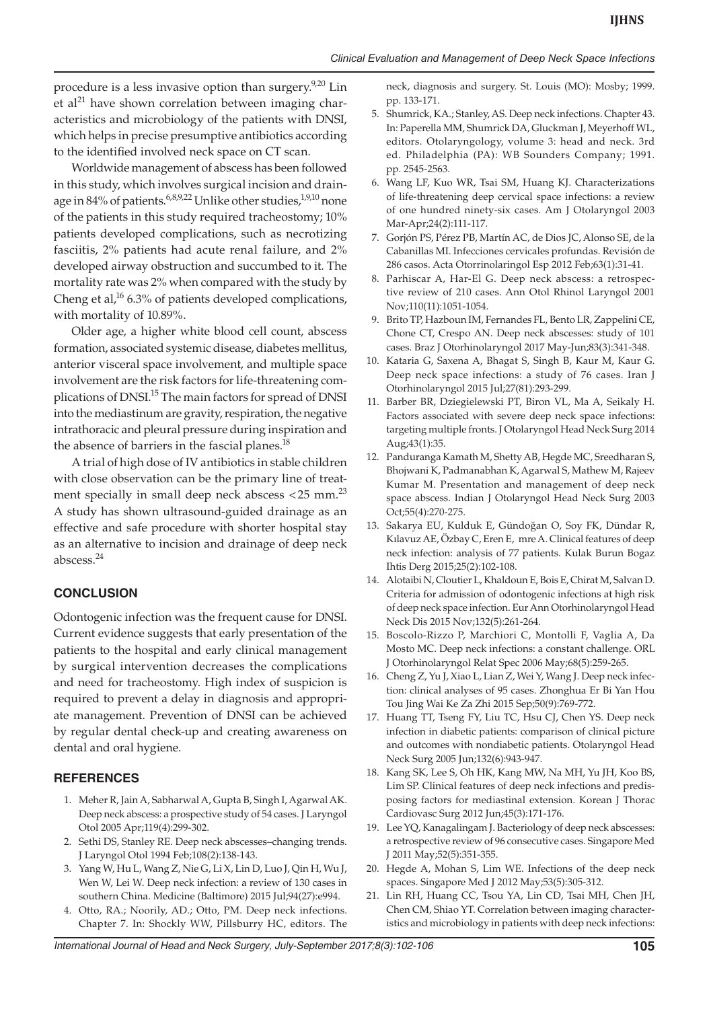procedure is a less invasive option than surgery. $9,20$  Lin et al<sup>21</sup> have shown correlation between imaging characteristics and microbiology of the patients with DNSI, which helps in precise presumptive antibiotics according to the identified involved neck space on CT scan.

Worldwide management of abscess has been followed in this study, which involves surgical incision and drainage in 84% of patients.<sup>6,8,9,22</sup> Unlike other studies,<sup>1,9,10</sup> none of the patients in this study required tracheostomy; 10% patients developed complications, such as necrotizing fasciitis, 2% patients had acute renal failure, and 2% developed airway obstruction and succumbed to it. The mortality rate was 2% when compared with the study by Cheng et al,<sup>16</sup> 6.3% of patients developed complications, with mortality of 10.89%.

Older age, a higher white blood cell count, abscess formation, associated systemic disease, diabetes mellitus, anterior visceral space involvement, and multiple space involvement are the risk factors for life-threatening complications of DNSI.<sup>15</sup> The main factors for spread of DNSI into the mediastinum are gravity, respiration, the negative intrathoracic and pleural pressure during inspiration and the absence of barriers in the fascial planes.<sup>18</sup>

A trial of high dose of IV antibiotics in stable children with close observation can be the primary line of treatment specially in small deep neck abscess  $<$  25 mm.<sup>23</sup> A study has shown ultrasound-guided drainage as an effective and safe procedure with shorter hospital stay as an alternative to incision and drainage of deep neck abscess.<sup>24</sup>

## **CONCLUSION**

Odontogenic infection was the frequent cause for DNSI. Current evidence suggests that early presentation of the patients to the hospital and early clinical management by surgical intervention decreases the complications and need for tracheostomy. High index of suspicion is required to prevent a delay in diagnosis and appropriate management. Prevention of DNSI can be achieved by regular dental check-up and creating awareness on dental and oral hygiene.

#### **REFERENCES**

- 1. Meher R, Jain A, Sabharwal A, Gupta B, Singh I, Agarwal AK. Deep neck abscess: a prospective study of 54 cases. J Laryngol Otol 2005 Apr;119(4):299-302.
- 2. Sethi DS, Stanley RE. Deep neck abscesses–changing trends. J Laryngol Otol 1994 Feb;108(2):138-143.
- 3. Yang W, Hu L, Wang Z, Nie G, Li X, Lin D, Luo J, Qin H, Wu J, Wen W, Lei W. Deep neck infection: a review of 130 cases in southern China. Medicine (Baltimore) 2015 Jul;94(27):e994.
- 4. Otto, RA.; Noorily, AD.; Otto, PM. Deep neck infections. Chapter 7. In: Shockly WW, Pillsburry HC, editors. The

neck, diagnosis and surgery. St. Louis (MO): Mosby; 1999. pp. 133-171.

- 5. Shumrick, KA.; Stanley, AS. Deep neck infections. Chapter 43. In: Paperella MM, Shumrick DA, Gluckman J, Meyerhoff WL, editors. Otolaryngology, volume 3: head and neck. 3rd ed. Philadelphia (PA): WB Sounders Company; 1991. pp. 2545-2563.
- 6. Wang LF, Kuo WR, Tsai SM, Huang KJ. Characterizations of life-threatening deep cervical space infections: a review of one hundred ninety-six cases. Am J Otolaryngol 2003 Mar-Apr;24(2):111-117.
- 7. Gorjón PS, Pérez PB, Martín AC, de Dios JC, Alonso SE, de la Cabanillas MI. Infecciones cervicales profundas. Revisión de 286 casos. Acta Otorrinolaringol Esp 2012 Feb;63(1):31-41.
- 8. Parhiscar A, Har-El G. Deep neck abscess: a retrospective review of 210 cases. Ann Otol Rhinol Laryngol 2001 Nov;110(11):1051-1054.
- 9. Brito TP, Hazboun IM, Fernandes FL, Bento LR, Zappelini CE, Chone CT, Crespo AN. Deep neck abscesses: study of 101 cases. Braz J Otorhinolaryngol 2017 May-Jun;83(3):341-348.
- 10. Kataria G, Saxena A, Bhagat S, Singh B, Kaur M, Kaur G. Deep neck space infections: a study of 76 cases. Iran J Otorhinolaryngol 2015 Jul;27(81):293-299.
- 11. Barber BR, Dziegielewski PT, Biron VL, Ma A, Seikaly H. Factors associated with severe deep neck space infections: targeting multiple fronts. J Otolaryngol Head Neck Surg 2014 Aug;43(1):35.
- 12. Panduranga Kamath M, Shetty AB, Hegde MC, Sreedharan S, Bhojwani K, Padmanabhan K, Agarwal S, Mathew M, Rajeev Kumar M. Presentation and management of deep neck space abscess. Indian J Otolaryngol Head Neck Surg 2003 Oct;55(4):270-275.
- 13. Sakarya EU, Kulduk E, Gündoğan O, Soy FK, Dündar R, Kılavuz AE, Özbay C, Eren E, mre A. Clinical features of deep neck infection: analysis of 77 patients. Kulak Burun Bogaz Ihtis Derg 2015;25(2):102-108.
- 14. Alotaibi N, Cloutier L, Khaldoun E, Bois E, Chirat M, Salvan D. Criteria for admission of odontogenic infections at high risk of deep neck space infection. Eur Ann Otorhinolaryngol Head Neck Dis 2015 Nov;132(5):261-264.
- 15. Boscolo-Rizzo P, Marchiori C, Montolli F, Vaglia A, Da Mosto MC. Deep neck infections: a constant challenge. ORL J Otorhinolaryngol Relat Spec 2006 May;68(5):259-265.
- 16. Cheng Z, Yu J, Xiao L, Lian Z, Wei Y, Wang J. Deep neck infection: clinical analyses of 95 cases. Zhonghua Er Bi Yan Hou Tou Jing Wai Ke Za Zhi 2015 Sep;50(9):769-772.
- 17. Huang TT, Tseng FY, Liu TC, Hsu CJ, Chen YS. Deep neck infection in diabetic patients: comparison of clinical picture and outcomes with nondiabetic patients. Otolaryngol Head Neck Surg 2005 Jun;132(6):943-947.
- 18. Kang SK, Lee S, Oh HK, Kang MW, Na MH, Yu JH, Koo BS, Lim SP. Clinical features of deep neck infections and predisposing factors for mediastinal extension. Korean J Thorac Cardiovasc Surg 2012 Jun;45(3):171-176.
- 19. Lee YQ, Kanagalingam J. Bacteriology of deep neck abscesses: a retrospective review of 96 consecutive cases. Singapore Med J 2011 May;52(5):351-355.
- 20. Hegde A, Mohan S, Lim WE. Infections of the deep neck spaces. Singapore Med J 2012 May;53(5):305-312.
- 21. Lin RH, Huang CC, Tsou YA, Lin CD, Tsai MH, Chen JH, Chen CM, Shiao YT. Correlation between imaging characteristics and microbiology in patients with deep neck infections: